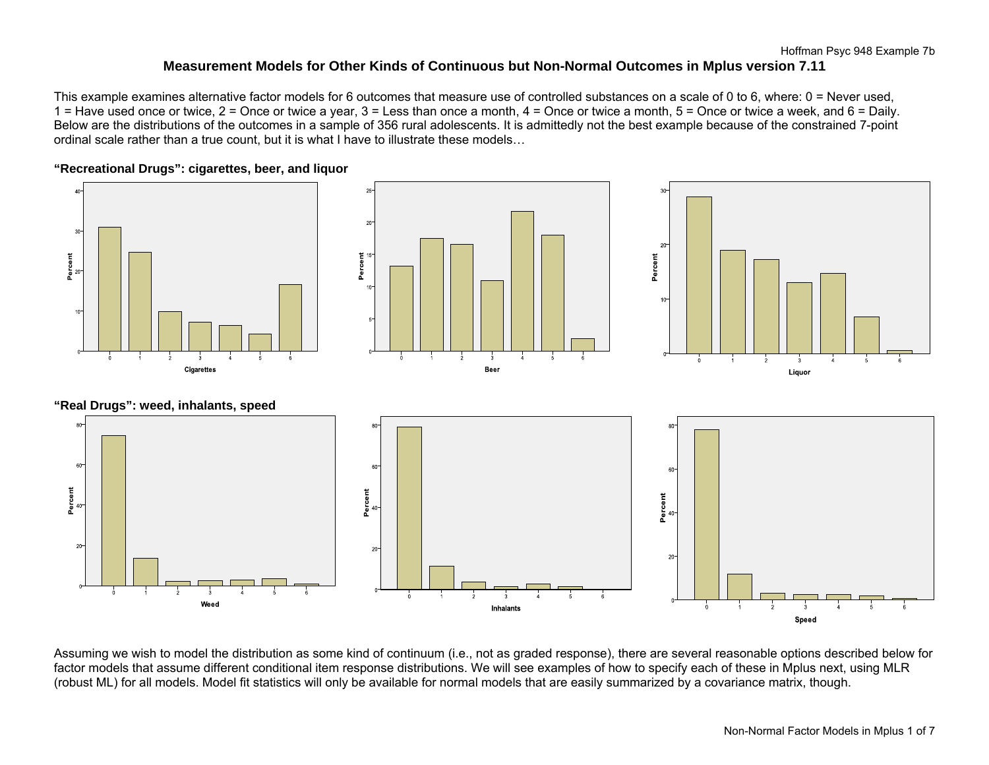This example examines alternative factor models for 6 outcomes that measure use of controlled substances on a scale of 0 to 6, where: 0 = Never used,  $1$  = Have used once or twice,  $2$  = Once or twice a year,  $3$  = Less than once a month,  $4$  = Once or twice a month,  $5$  = Once or twice a week, and  $6$  = Daily. Below are the distributions of the outcomes in a sample of 356 rural adolescents. It is admittedly not the best example because of the constrained 7-point ordinal scale rather than a true count, but it is what I have to illustrate these models…



Assuming we wish to model the distribution as some kind of continuum (i.e., not as graded response), there are several reasonable options described below for factor models that assume different conditional item response distributions. We will see examples of how to specify each of these in Mplus next, using MLR (robust ML) for all models. Model fit statistics will only be available for normal models that are easily summarized by a covariance matrix, though.

### Non-Normal Factor Models in Mplus 1 of 7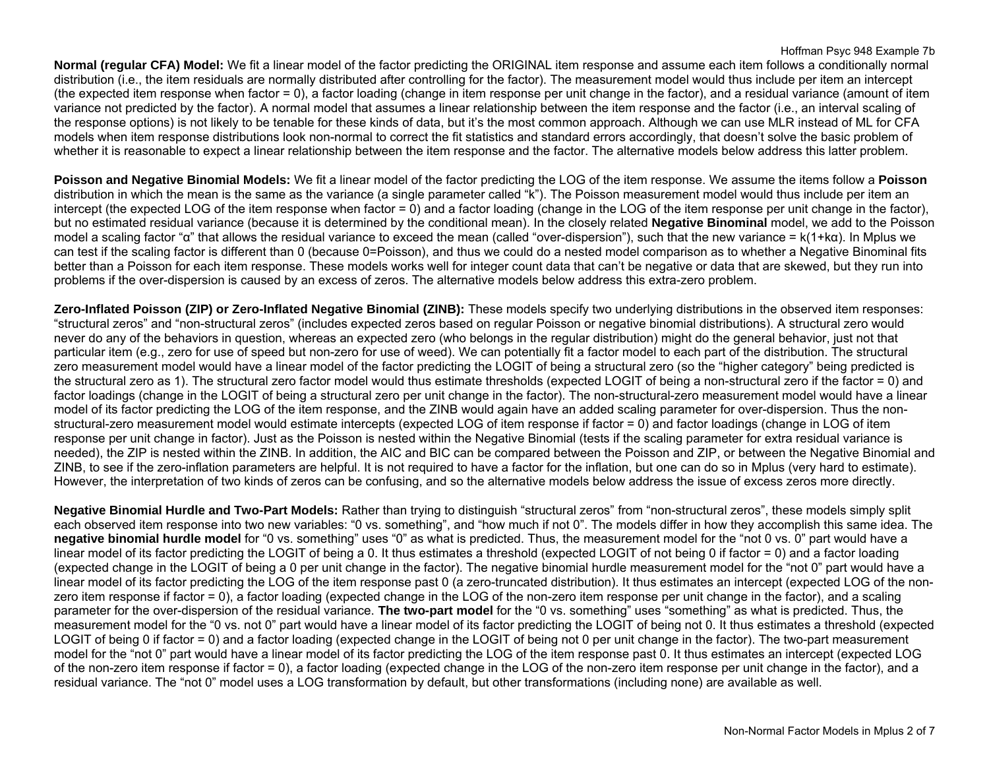### Hoffman Psyc 948 Example 7b

**Normal (regular CFA) Model:** We fit a linear model of the factor predicting the ORIGINAL item response and assume each item follows a conditionally normal distribution (i.e., the item residuals are normally distributed after controlling for the factor). The measurement model would thus include per item an intercept (the expected item response when factor = 0), a factor loading (change in item response per unit change in the factor), and a residual variance (amount of item variance not predicted by the factor). A normal model that assumes a linear relationship between the item response and the factor (i.e., an interval scaling of the response options) is not likely to be tenable for these kinds of data, but it's the most common approach. Although we can use MLR instead of ML for CFA models when item response distributions look non-normal to correct the fit statistics and standard errors accordingly, that doesn't solve the basic problem of whether it is reasonable to expect a linear relationship between the item response and the factor. The alternative models below address this latter problem.

**Poisson and Negative Binomial Models:** We fit a linear model of the factor predicting the LOG of the item response. We assume the items follow a **Poisson** distribution in which the mean is the same as the variance (a single parameter called "k"). The Poisson measurement model would thus include per item an intercept (the expected LOG of the item response when factor = 0) and a factor loading (change in the LOG of the item response per unit change in the factor), but no estimated residual variance (because it is determined by the conditional mean). In the closely related **Negative Binominal** model, we add to the Poisson model a scaling factor "α" that allows the residual variance to exceed the mean (called "over-dispersion"), such that the new variance = k(1+kα). In Mplus we can test if the scaling factor is different than 0 (because 0=Poisson), and thus we could do a nested model comparison as to whether a Negative Binominal fits better than a Poisson for each item response. These models works well for integer count data that can't be negative or data that are skewed, but they run into problems if the over-dispersion is caused by an excess of zeros. The alternative models below address this extra-zero problem.

**Zero-Inflated Poisson (ZIP) or Zero-Inflated Negative Binomial (ZINB):** These models specify two underlying distributions in the observed item responses: "structural zeros" and "non-structural zeros" (includes expected zeros based on regular Poisson or negative binomial distributions). A structural zero would never do any of the behaviors in question, whereas an expected zero (who belongs in the regular distribution) might do the general behavior, just not that particular item (e.g., zero for use of speed but non-zero for use of weed). We can potentially fit a factor model to each part of the distribution. The structural zero measurement model would have a linear model of the factor predicting the LOGIT of being a structural zero (so the "higher category" being predicted is the structural zero as 1). The structural zero factor model would thus estimate thresholds (expected LOGIT of being a non-structural zero if the factor = 0) and factor loadings (change in the LOGIT of being a structural zero per unit change in the factor). The non-structural-zero measurement model would have a linear model of its factor predicting the LOG of the item response, and the ZINB would again have an added scaling parameter for over-dispersion. Thus the nonstructural-zero measurement model would estimate intercepts (expected LOG of item response if factor = 0) and factor loadings (change in LOG of item response per unit change in factor). Just as the Poisson is nested within the Negative Binomial (tests if the scaling parameter for extra residual variance is needed), the ZIP is nested within the ZINB. In addition, the AIC and BIC can be compared between the Poisson and ZIP, or between the Negative Binomial and ZINB, to see if the zero-inflation parameters are helpful. It is not required to have a factor for the inflation, but one can do so in Mplus (very hard to estimate). However, the interpretation of two kinds of zeros can be confusing, and so the alternative models below address the issue of excess zeros more directly.

**Negative Binomial Hurdle and Two-Part Models:** Rather than trying to distinguish "structural zeros" from "non-structural zeros", these models simply split each observed item response into two new variables: "0 vs. something", and "how much if not 0". The models differ in how they accomplish this same idea. The **negative binomial hurdle model** for "0 vs. something" uses "0" as what is predicted. Thus, the measurement model for the "not 0 vs. 0" part would have a linear model of its factor predicting the LOGIT of being a 0. It thus estimates a threshold (expected LOGIT of not being 0 if factor = 0) and a factor loading (expected change in the LOGIT of being a 0 per unit change in the factor). The negative binomial hurdle measurement model for the "not 0" part would have a linear model of its factor predicting the LOG of the item response past 0 (a zero-truncated distribution). It thus estimates an intercept (expected LOG of the nonzero item response if factor = 0), a factor loading (expected change in the LOG of the non-zero item response per unit change in the factor), and a scaling parameter for the over-dispersion of the residual variance. **The two-part model** for the "0 vs. something" uses "something" as what is predicted. Thus, the measurement model for the "0 vs. not 0" part would have a linear model of its factor predicting the LOGIT of being not 0. It thus estimates a threshold (expected LOGIT of being 0 if factor = 0) and a factor loading (expected change in the LOGIT of being not 0 per unit change in the factor). The two-part measurement model for the "not 0" part would have a linear model of its factor predicting the LOG of the item response past 0. It thus estimates an intercept (expected LOG of the non-zero item response if factor = 0), a factor loading (expected change in the LOG of the non-zero item response per unit change in the factor), and a residual variance. The "not 0" model uses a LOG transformation by default, but other transformations (including none) are available as well.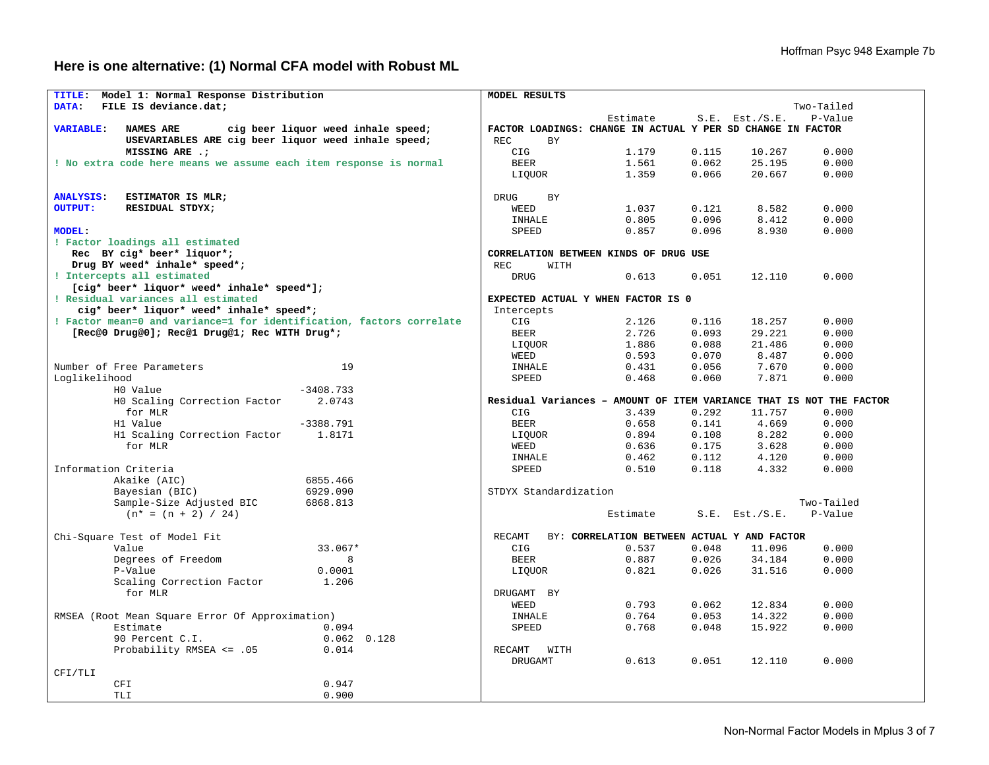**Here is one alternative: (1) Normal CFA model with Robust ML** 

| TITLE:<br>Model 1: Normal Response Distribution                      | MODEL RESULTS           |                                                                     |       |                     |            |
|----------------------------------------------------------------------|-------------------------|---------------------------------------------------------------------|-------|---------------------|------------|
| DATA:<br>FILE IS deviance.dat;                                       |                         |                                                                     |       |                     | Two-Tailed |
|                                                                      |                         | Estimate                                                            |       | $S.E.$ Est./ $S.E.$ | P-Value    |
| <b>VARIABLE:</b><br>NAMES ARE<br>cig beer liquor weed inhale speed;  |                         | FACTOR LOADINGS: CHANGE IN ACTUAL Y PER SD CHANGE IN FACTOR         |       |                     |            |
| USEVARIABLES ARE cig beer liquor weed inhale speed;                  | <b>REC</b><br><b>BY</b> |                                                                     |       |                     |            |
| MISSING ARE .;                                                       | CIG                     | 1.179                                                               | 0.115 | 10.267              | 0.000      |
| ! No extra code here means we assume each item response is normal    | <b>BEER</b>             | 1.561                                                               | 0.062 | 25.195              | 0.000      |
|                                                                      | LIQUOR                  | 1.359                                                               | 0.066 | 20.667              | 0.000      |
|                                                                      |                         |                                                                     |       |                     |            |
| <b>ANALYSIS:</b><br>ESTIMATOR IS MLR;                                | <b>DRUG</b><br>BY       |                                                                     |       |                     |            |
| <b>OUTPUT:</b><br>RESIDUAL STDYX;                                    | WEED                    | 1.037                                                               | 0.121 | 8.582               | 0.000      |
|                                                                      | <b>INHALE</b>           | 0.805                                                               | 0.096 | 8.412               | 0.000      |
| <b>MODEL:</b>                                                        | SPEED                   | 0.857                                                               | 0.096 | 8.930               | 0.000      |
| ! Factor loadings all estimated                                      |                         |                                                                     |       |                     |            |
| Rec BY cig* beer* liquor*;                                           |                         | CORRELATION BETWEEN KINDS OF DRUG USE                               |       |                     |            |
| Drug BY weed* inhale* speed*;                                        | REC.<br>WITH            |                                                                     |       |                     |            |
| ! Intercepts all estimated                                           | <b>DRUG</b>             | 0.613                                                               | 0.051 | 12.110              | 0.000      |
| [cig* beer* liquor* weed* inhale* speed*];                           |                         |                                                                     |       |                     |            |
| ! Residual variances all estimated                                   |                         | EXPECTED ACTUAL Y WHEN FACTOR IS 0                                  |       |                     |            |
| cig* beer* liquor* weed* inhale* speed*;                             | Intercepts              |                                                                     |       |                     |            |
| ! Factor mean=0 and variance=1 for identification, factors correlate | CIG                     | 2.126                                                               | 0.116 | 18.257              | 0.000      |
| [Rec@0 Drug@0]; Rec@1 Drug@1; Rec WITH Drug*;                        | <b>BEER</b>             | 2.726                                                               | 0.093 | 29.221              | 0.000      |
|                                                                      | LIOUOR                  | 1.886                                                               | 0.088 | 21.486              | 0.000      |
|                                                                      | WEED                    | 0.593                                                               | 0.070 | 8.487               | 0.000      |
| 19<br>Number of Free Parameters                                      | INHALE                  | 0.431                                                               | 0.056 | 7.670               | 0.000      |
| Loglikelihood                                                        | SPEED                   | 0.468                                                               | 0.060 | 7.871               | 0.000      |
| H0 Value<br>$-3408.733$                                              |                         |                                                                     |       |                     |            |
| HO Scaling Correction Factor<br>2.0743                               |                         | Residual Variances - AMOUNT OF ITEM VARIANCE THAT IS NOT THE FACTOR |       |                     |            |
| for MLR                                                              | <b>CIG</b>              | 3.439                                                               | 0.292 | 11.757              | 0.000      |
| H1 Value<br>$-3388.791$                                              | <b>BEER</b>             | 0.658                                                               | 0.141 | 4.669               | 0.000      |
| H1 Scaling Correction Factor<br>1.8171                               | LIOUOR                  | 0.894                                                               | 0.108 | 8.282               | 0.000      |
| for MLR                                                              | WEED                    | 0.636                                                               | 0.175 | 3.628               | 0.000      |
|                                                                      |                         |                                                                     |       |                     |            |
|                                                                      | <b>INHALE</b>           | 0.462                                                               | 0.112 | 4.120               | 0.000      |
| Information Criteria                                                 | SPEED                   | 0.510                                                               | 0.118 | 4.332               | 0.000      |
| Akaike (AIC)<br>6855.466                                             |                         |                                                                     |       |                     |            |
| Bayesian (BIC)<br>6929.090                                           | STDYX Standardization   |                                                                     |       |                     |            |
| Sample-Size Adjusted BIC<br>6868.813                                 |                         |                                                                     |       |                     | Two-Tailed |
| $(n* = (n + 2) / 24)$                                                |                         | Estimate                                                            |       | $S.E.$ Est./ $S.E.$ | P-Value    |
|                                                                      |                         |                                                                     |       |                     |            |
| Chi-Square Test of Model Fit                                         | RECAMT                  | BY: CORRELATION BETWEEN ACTUAL Y AND FACTOR                         |       |                     |            |
| Value<br>33.067*                                                     | CIG                     | 0.537                                                               | 0.048 | 11.096              | 0.000      |
| Degrees of Freedom                                                   | <b>BEER</b>             | 0.887                                                               | 0.026 | 34.184              | 0.000      |
| P-Value<br>0.0001                                                    | LIOUOR                  | 0.821                                                               | 0.026 | 31.516              | 0.000      |
| Scaling Correction Factor<br>1.206                                   |                         |                                                                     |       |                     |            |
| for MLR                                                              | DRUGAMT BY              |                                                                     |       |                     |            |
|                                                                      | WEED                    | 0.793                                                               | 0.062 | 12.834              | 0.000      |
| RMSEA (Root Mean Square Error Of Approximation)                      | INHALE                  | 0.764                                                               | 0.053 | 14.322              | 0.000      |
| Estimate<br>0.094                                                    | SPEED                   | 0.768                                                               | 0.048 | 15.922              | 0.000      |
| $0.062$ $0.128$<br>90 Percent C.I.                                   |                         |                                                                     |       |                     |            |
| Probability RMSEA <= .05<br>0.014                                    | RECAMT<br>WITH          |                                                                     |       |                     |            |
|                                                                      | DRUGAMT                 | 0.613                                                               | 0.051 | 12.110              | 0.000      |
| CFI/TLI                                                              |                         |                                                                     |       |                     |            |
| CFI<br>0.947                                                         |                         |                                                                     |       |                     |            |
| TLI<br>0.900                                                         |                         |                                                                     |       |                     |            |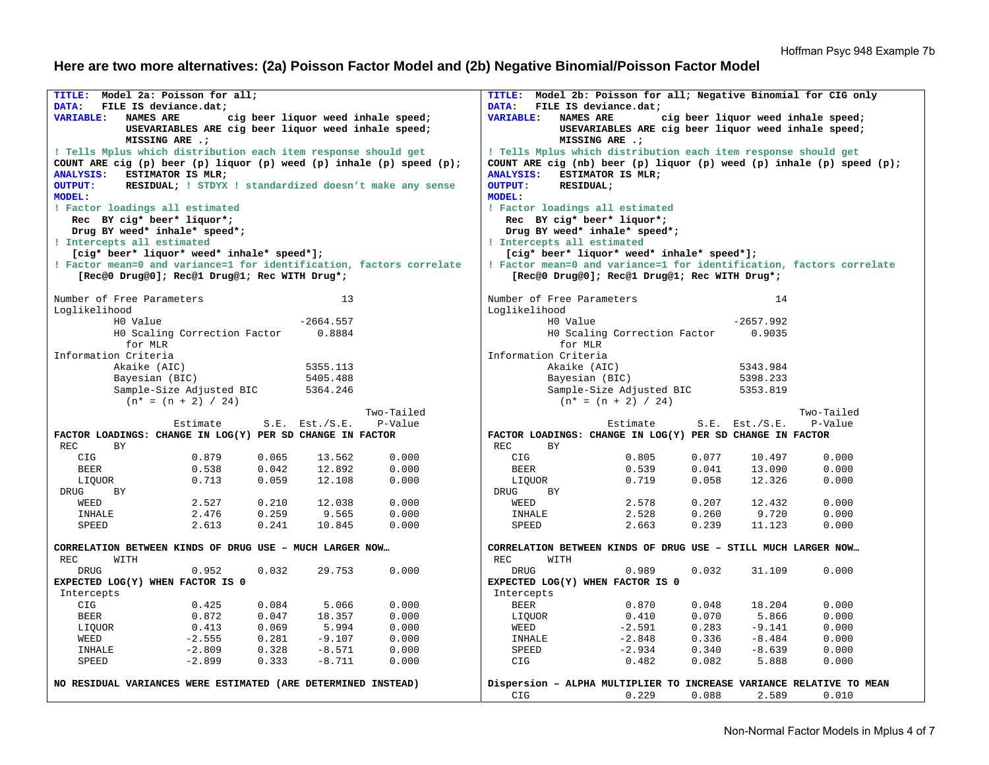# **Here are two more alternatives: (2a) Poisson Factor Model and (2b) Negative Binomial/Poisson Factor Model**

| TITLE: Model 2a: Poisson for all;                                    |                                                                       |       |                     |                                                         | Model 2b: Poisson for all; Negative Binomial for CIG only<br>TITLE:   |                            |                                                                |       |                     |                                                                              |
|----------------------------------------------------------------------|-----------------------------------------------------------------------|-------|---------------------|---------------------------------------------------------|-----------------------------------------------------------------------|----------------------------|----------------------------------------------------------------|-------|---------------------|------------------------------------------------------------------------------|
| DATA:                                                                | FILE IS deviance.dat;                                                 |       |                     |                                                         | DATA:<br>FILE IS deviance.dat;                                        |                            |                                                                |       |                     |                                                                              |
| <b>VARIABLE:</b><br><b>NAMES ARE</b>                                 |                                                                       |       |                     | cig beer liquor weed inhale speed;                      | <b>VARIABLE:</b><br>NAMES ARE<br>cig beer liquor weed inhale speed;   |                            |                                                                |       |                     |                                                                              |
|                                                                      | USEVARIABLES ARE cig beer liquor weed inhale speed;<br>MISSING ARE .; |       |                     |                                                         | USEVARIABLES ARE cig beer liquor weed inhale speed;<br>MISSING ARE .; |                            |                                                                |       |                     |                                                                              |
| ! Tells Mplus which distribution each item response should get       |                                                                       |       |                     |                                                         |                                                                       |                            | ! Tells Mplus which distribution each item response should get |       |                     |                                                                              |
| COUNT ARE cig (p) beer (p) liquor (p) weed (p) inhale (p) speed (p); |                                                                       |       |                     |                                                         |                                                                       |                            |                                                                |       |                     | COUNT ARE cig (nb) beer (p) liquor (p) weed (p) inhale (p) speed (p);        |
| ANALYSIS: ESTIMATOR IS MLR;                                          |                                                                       |       |                     |                                                         | <b>ANALYSIS:</b>                                                      |                            | ESTIMATOR IS MLR;                                              |       |                     |                                                                              |
| <b>OUTPUT:</b>                                                       |                                                                       |       |                     | RESIDUAL; ! STDYX ! standardized doesn't make any sense | <b>OUTPUT:</b>                                                        | RESIDUAL;                  |                                                                |       |                     |                                                                              |
| <b>MODEL:</b>                                                        |                                                                       |       |                     |                                                         | MODEL:                                                                |                            |                                                                |       |                     |                                                                              |
| ! Factor loadings all estimated                                      |                                                                       |       |                     |                                                         |                                                                       |                            | ! Factor loadings all estimated                                |       |                     |                                                                              |
| Rec BY cig* beer* liquor*;                                           |                                                                       |       |                     |                                                         |                                                                       |                            | Rec BY cig* beer* liquor*;                                     |       |                     |                                                                              |
| Drug BY weed* inhale* speed*;                                        |                                                                       |       |                     |                                                         |                                                                       |                            | Drug BY weed* inhale* speed*;                                  |       |                     |                                                                              |
| ! Intercepts all estimated                                           |                                                                       |       |                     |                                                         |                                                                       | ! Intercepts all estimated |                                                                |       |                     |                                                                              |
| [cig* beer* liquor* weed* inhale* speed*];                           |                                                                       |       |                     |                                                         |                                                                       |                            | [cig* beer* liquor* weed* inhale* speed*];                     |       |                     |                                                                              |
| ! Factor mean=0 and variance=1 for identification, factors correlate |                                                                       |       |                     |                                                         |                                                                       |                            |                                                                |       |                     | ! Factor mean=0 and variance=1 for identification, factors correlate         |
|                                                                      | [Rec@0 Drug@0]; Rec@1 Drug@1; Rec WITH Drug*;                         |       |                     |                                                         |                                                                       |                            | [Rec@0 Drug@0]; Rec@1 Drug@1; Rec WITH Drug*;                  |       |                     |                                                                              |
|                                                                      |                                                                       |       |                     |                                                         |                                                                       |                            |                                                                |       |                     |                                                                              |
| Number of Free Parameters<br>Loglikelihood                           |                                                                       |       | 13                  |                                                         | Loglikelihood                                                         | Number of Free Parameters  |                                                                |       | 14                  |                                                                              |
| H0 Value                                                             |                                                                       |       | $-2664.557$         |                                                         |                                                                       | H0 Value                   |                                                                |       | $-2657.992$         |                                                                              |
|                                                                      | HO Scaling Correction Factor                                          |       | 0.8884              |                                                         |                                                                       |                            | HO Scaling Correction Factor                                   |       | 0.9035              |                                                                              |
| for MLR                                                              |                                                                       |       |                     |                                                         |                                                                       | for MLR                    |                                                                |       |                     |                                                                              |
| Information Criteria                                                 |                                                                       |       |                     |                                                         |                                                                       | Information Criteria       |                                                                |       |                     |                                                                              |
| Akaike (AIC)                                                         |                                                                       |       | 5355.113            |                                                         |                                                                       | Akaike (AIC)               |                                                                |       | 5343.984            |                                                                              |
| Bayesian (BIC)                                                       |                                                                       |       | 5405.488            |                                                         |                                                                       |                            |                                                                |       | 5398.233            |                                                                              |
|                                                                      | Sample-Size Adjusted BIC                                              |       | 5364.246            |                                                         | Bayesian (BIC)<br>Sample-Size Adjusted BIC<br>5353.819                |                            |                                                                |       |                     |                                                                              |
|                                                                      | $(n* = (n + 2) / 24)$                                                 |       |                     |                                                         | $(n* = (n + 2) / 24)$                                                 |                            |                                                                |       |                     |                                                                              |
|                                                                      |                                                                       |       |                     | Two-Tailed                                              |                                                                       |                            |                                                                |       |                     | Two-Tailed                                                                   |
|                                                                      | Estimate                                                              |       | $S.E.$ Est./ $S.E.$ | P-Value                                                 |                                                                       |                            | Estimate                                                       |       | $S.E.$ Est./ $S.E.$ | P-Value                                                                      |
| FACTOR LOADINGS: CHANGE IN LOG(Y) PER SD CHANGE IN FACTOR            |                                                                       |       |                     |                                                         |                                                                       |                            | FACTOR LOADINGS: CHANGE IN LOG(Y) PER SD CHANGE IN FACTOR      |       |                     |                                                                              |
| REC.<br>BY.                                                          |                                                                       |       |                     |                                                         | REC.                                                                  | BY.                        |                                                                |       |                     |                                                                              |
| CIG                                                                  | 0.879                                                                 | 0.065 | 13.562              | 0.000                                                   | CIG                                                                   |                            | 0.805                                                          | 0.077 | 10.497              | 0.000                                                                        |
| <b>BEER</b>                                                          | 0.538                                                                 | 0.042 | 12.892              | 0.000                                                   | <b>BEER</b>                                                           |                            | 0.539                                                          | 0.041 | 13.090              | 0.000                                                                        |
| LIQUOR                                                               | 0.713                                                                 | 0.059 | 12.108              | 0.000                                                   |                                                                       | LIQUOR                     | 0.719                                                          | 0.058 | 12.326              | 0.000                                                                        |
| DRUG<br>BY                                                           |                                                                       |       |                     |                                                         | DRUG                                                                  | <b>BY</b>                  |                                                                |       |                     |                                                                              |
| WEED                                                                 | 2.527                                                                 | 0.210 | 12.038              | 0.000                                                   | WEED                                                                  |                            | 2.578                                                          | 0.207 | 12.432              | 0.000                                                                        |
| INHALE                                                               | 2.476                                                                 | 0.259 | 9.565               | 0.000                                                   |                                                                       | INHALE                     | 2.528                                                          | 0.260 | 9.720               | 0.000                                                                        |
| SPEED                                                                | 2.613                                                                 | 0.241 | 10.845              | 0.000                                                   | SPEED                                                                 |                            | 2.663                                                          | 0.239 | 11.123              | 0.000                                                                        |
|                                                                      |                                                                       |       |                     |                                                         |                                                                       |                            |                                                                |       |                     |                                                                              |
| CORRELATION BETWEEN KINDS OF DRUG USE - MUCH LARGER NOW              |                                                                       |       |                     |                                                         |                                                                       |                            | CORRELATION BETWEEN KINDS OF DRUG USE - STILL MUCH LARGER NOW  |       |                     |                                                                              |
| REC<br>WITH                                                          |                                                                       |       |                     |                                                         | REC                                                                   | WITH                       |                                                                |       |                     |                                                                              |
| <b>DRUG</b>                                                          | 0.952                                                                 | 0.032 | 29.753              | 0.000                                                   | <b>DRUG</b>                                                           |                            | 0.989                                                          | 0.032 | 31.109              | 0.000                                                                        |
| EXPECTED LOG(Y) WHEN FACTOR IS 0                                     |                                                                       |       |                     |                                                         |                                                                       |                            | EXPECTED LOG(Y) WHEN FACTOR IS 0                               |       |                     |                                                                              |
| Intercepts                                                           |                                                                       |       |                     |                                                         | Intercepts                                                            |                            |                                                                |       |                     |                                                                              |
| CIG                                                                  | 0.425                                                                 | 0.084 | 5.066               | 0.000                                                   | <b>BEER</b>                                                           |                            | 0.870                                                          | 0.048 | 18.204              | 0.000                                                                        |
| <b>BEER</b>                                                          | 0.872                                                                 | 0.047 | 18.357              | 0.000                                                   |                                                                       | LIQUOR                     | 0.410                                                          | 0.070 | 5.866               | 0.000                                                                        |
| LIOUOR                                                               | 0.413                                                                 | 0.069 | 5.994               | 0.000                                                   | WEED                                                                  |                            | $-2.591$                                                       | 0.283 | $-9.141$            | 0.000                                                                        |
| WEED                                                                 | $-2.555$                                                              | 0.281 | $-9.107$            | 0.000                                                   |                                                                       | INHALE                     | $-2.848$                                                       | 0.336 | $-8.484$            | 0.000                                                                        |
| INHALE                                                               | $-2.809$                                                              | 0.328 | $-8.571$            | 0.000                                                   | SPEED                                                                 |                            | $-2.934$                                                       | 0.340 | $-8.639$            | 0.000                                                                        |
| SPEED                                                                | $-2.899$                                                              | 0.333 | $-8.711$            | 0.000                                                   | CIG                                                                   |                            | 0.482                                                          | 0.082 | 5.888               | 0.000                                                                        |
|                                                                      |                                                                       |       |                     |                                                         |                                                                       |                            |                                                                |       |                     |                                                                              |
| NO RESIDUAL VARIANCES WERE ESTIMATED (ARE DETERMINED INSTEAD)        |                                                                       |       |                     |                                                         | CIG                                                                   |                            | 0.229                                                          | 0.088 | 2.589               | Dispersion - ALPHA MULTIPLIER TO INCREASE VARIANCE RELATIVE TO MEAN<br>0.010 |
|                                                                      |                                                                       |       |                     |                                                         |                                                                       |                            |                                                                |       |                     |                                                                              |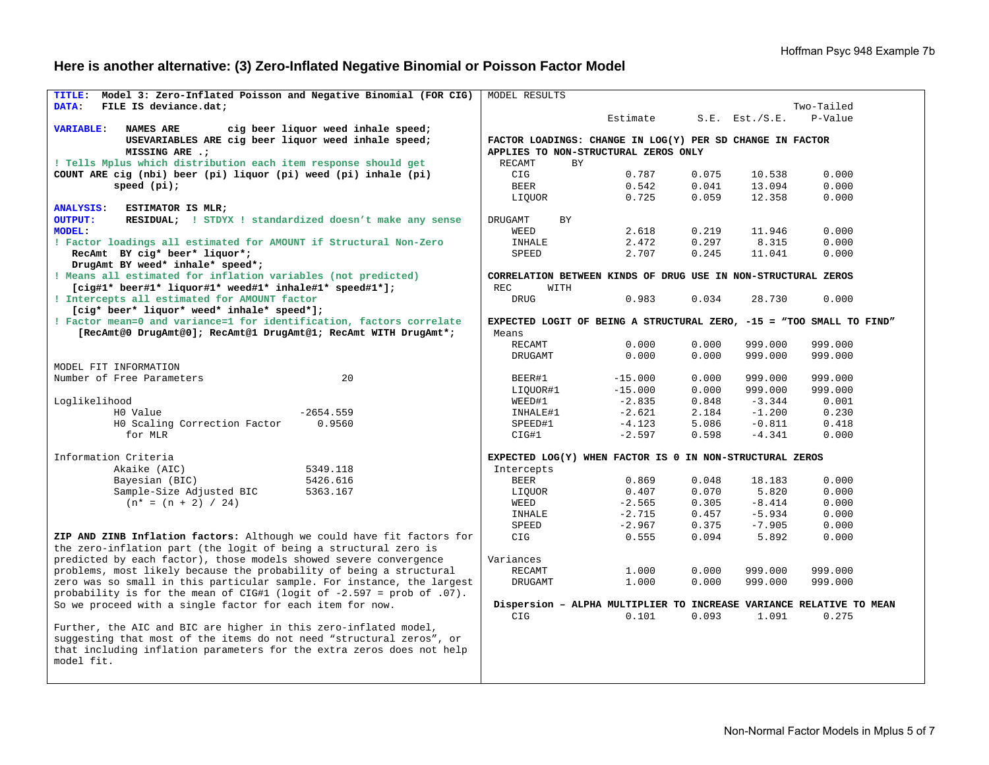# **Here is another alternative: (3) Zero-Inflated Negative Binomial or Poisson Factor Model**

| Model 3: Zero-Inflated Poisson and Negative Binomial (FOR CIG)<br>TITLE:                                        | MODEL RESULTS                                                 |           |       |                     |                                                                      |
|-----------------------------------------------------------------------------------------------------------------|---------------------------------------------------------------|-----------|-------|---------------------|----------------------------------------------------------------------|
| DATA:<br>FILE IS deviance.dat;                                                                                  |                                                               |           |       |                     | Two-Tailed                                                           |
|                                                                                                                 |                                                               | Estimate  |       | $S.E.$ Est./ $S.E.$ | P-Value                                                              |
| <b>VARIABLE:</b><br>NAMES ARE<br>cig beer liquor weed inhale speed;                                             |                                                               |           |       |                     |                                                                      |
| USEVARIABLES ARE cig beer liquor weed inhale speed;                                                             | FACTOR LOADINGS: CHANGE IN LOG(Y) PER SD CHANGE IN FACTOR     |           |       |                     |                                                                      |
| MISSING ARE .;                                                                                                  | APPLIES TO NON-STRUCTURAL ZEROS ONLY                          |           |       |                     |                                                                      |
| ! Tells Mplus which distribution each item response should get                                                  | RECAMT<br>BY.                                                 |           |       |                     |                                                                      |
| COUNT ARE cig (nbi) beer (pi) liquor (pi) weed (pi) inhale (pi)                                                 | CIG                                                           | 0.787     | 0.075 | 10.538              | 0.000                                                                |
| speed (pi);                                                                                                     | <b>BEER</b>                                                   | 0.542     | 0.041 | 13.094              | 0.000                                                                |
|                                                                                                                 | LIQUOR                                                        | 0.725     | 0.059 | 12.358              | 0.000                                                                |
| <b>ANALYSIS:</b><br>ESTIMATOR IS MLR;                                                                           |                                                               |           |       |                     |                                                                      |
| <b>OUTPUT:</b><br>RESIDUAL; ! STDYX ! standardized doesn't make any sense                                       | DRUGAMT<br>BY                                                 |           |       |                     |                                                                      |
| <b>MODEL:</b>                                                                                                   | WEED                                                          | 2.618     | 0.219 | 11.946              | 0.000                                                                |
| ! Factor loadings all estimated for AMOUNT if Structural Non-Zero                                               | INHALE                                                        | 2.472     | 0.297 | 8.315               | 0.000                                                                |
| RecAmt BY cig* beer* liquor*;                                                                                   | SPEED                                                         | 2.707     | 0.245 | 11.041              | 0.000                                                                |
| DrugAmt BY weed* inhale* speed*;                                                                                |                                                               |           |       |                     |                                                                      |
| ! Means all estimated for inflation variables (not predicted)                                                   | CORRELATION BETWEEN KINDS OF DRUG USE IN NON-STRUCTURAL ZEROS |           |       |                     |                                                                      |
| $[{\rm\thinspace cig\#1*}\>\>{\rm\thinspace beer\#1*}\>\>{\rm\thinspace 1iquorth}$ weed#1* inhale#1* speed#1*]; | <b>REC</b><br>WITH                                            |           |       |                     |                                                                      |
| ! Intercepts all estimated for AMOUNT factor                                                                    | <b>DRUG</b>                                                   | 0.983     | 0.034 | 28.730              | 0.000                                                                |
| [cig* beer* liquor* weed* inhale* speed*];                                                                      |                                                               |           |       |                     |                                                                      |
| ! Factor mean=0 and variance=1 for identification, factors correlate                                            |                                                               |           |       |                     | EXPECTED LOGIT OF BEING A STRUCTURAL ZERO, -15 = "TOO SMALL TO FIND" |
| [RecAmt@0 DrugAmt@0]; RecAmt@1 DrugAmt@1; RecAmt WITH DrugAmt*;                                                 | Means                                                         |           |       |                     |                                                                      |
|                                                                                                                 | RECAMT                                                        | 0.000     | 0.000 | 999.000             | 999.000                                                              |
|                                                                                                                 | DRUGAMT                                                       | 0.000     | 0.000 | 999.000             | 999.000                                                              |
| MODEL FIT INFORMATION                                                                                           |                                                               |           |       |                     |                                                                      |
| 20<br>Number of Free Parameters                                                                                 | BEER#1                                                        | $-15.000$ | 0.000 | 999.000             | 999.000                                                              |
|                                                                                                                 | LIOUOR#1                                                      | $-15.000$ | 0.000 | 999.000             | 999.000                                                              |
| Loglikelihood                                                                                                   | WEED#1                                                        | $-2.835$  | 0.848 | $-3.344$            | 0.001                                                                |
| H0 Value<br>$-2654.559$                                                                                         | INHALE#1                                                      | $-2.621$  | 2.184 | $-1.200$            | 0.230                                                                |
| HO Scaling Correction Factor<br>0.9560                                                                          | SPEED#1                                                       | $-4.123$  | 5.086 | $-0.811$            | 0.418                                                                |
| for MLR                                                                                                         | CIG#1                                                         | $-2.597$  | 0.598 | $-4.341$            | 0.000                                                                |
|                                                                                                                 |                                                               |           |       |                     |                                                                      |
| Information Criteria                                                                                            | EXPECTED LOG(Y) WHEN FACTOR IS 0 IN NON-STRUCTURAL ZEROS      |           |       |                     |                                                                      |
| Akaike (AIC)<br>5349.118                                                                                        | Intercepts                                                    |           |       |                     |                                                                      |
| Bayesian (BIC)<br>5426.616                                                                                      | <b>BEER</b>                                                   | 0.869     | 0.048 | 18.183              | 0.000                                                                |
| Sample-Size Adjusted BIC<br>5363.167                                                                            | LIQUOR                                                        | 0.407     | 0.070 | 5.820               | 0.000                                                                |
| $(n* = (n + 2) / 24)$                                                                                           | WEED                                                          | $-2.565$  | 0.305 | $-8.414$            | 0.000                                                                |
|                                                                                                                 | INHALE                                                        | $-2.715$  | 0.457 | $-5.934$            | 0.000                                                                |
|                                                                                                                 | SPEED                                                         | $-2.967$  | 0.375 | $-7.905$            | 0.000                                                                |
| ZIP AND ZINB Inflation factors: Although we could have fit factors for                                          | CIG                                                           | 0.555     | 0.094 | 5.892               | 0.000                                                                |
| the zero-inflation part (the logit of being a structural zero is                                                |                                                               |           |       |                     |                                                                      |
| predicted by each factor), those models showed severe convergence                                               | Variances                                                     |           |       |                     |                                                                      |
| problems, most likely because the probability of being a structural                                             | <b>RECAMT</b>                                                 | 1.000     | 0.000 | 999.000             | 999.000                                                              |
| zero was so small in this particular sample. For instance, the largest                                          | DRUGAMT                                                       | 1.000     | 0.000 | 999.000             | 999.000                                                              |
| probability is for the mean of CIG#1 (logit of $-2.597$ = prob of .07).                                         |                                                               |           |       |                     |                                                                      |
| So we proceed with a single factor for each item for now.                                                       |                                                               |           |       |                     | Dispersion - ALPHA MULTIPLIER TO INCREASE VARIANCE RELATIVE TO MEAN  |
|                                                                                                                 | CIG                                                           | 0.101     | 0.093 | 1.091               | 0.275                                                                |
| Further, the AIC and BIC are higher in this zero-inflated model,                                                |                                                               |           |       |                     |                                                                      |
| suggesting that most of the items do not need "structural zeros", or                                            |                                                               |           |       |                     |                                                                      |
| that including inflation parameters for the extra zeros does not help                                           |                                                               |           |       |                     |                                                                      |
| model fit.                                                                                                      |                                                               |           |       |                     |                                                                      |
|                                                                                                                 |                                                               |           |       |                     |                                                                      |
|                                                                                                                 |                                                               |           |       |                     |                                                                      |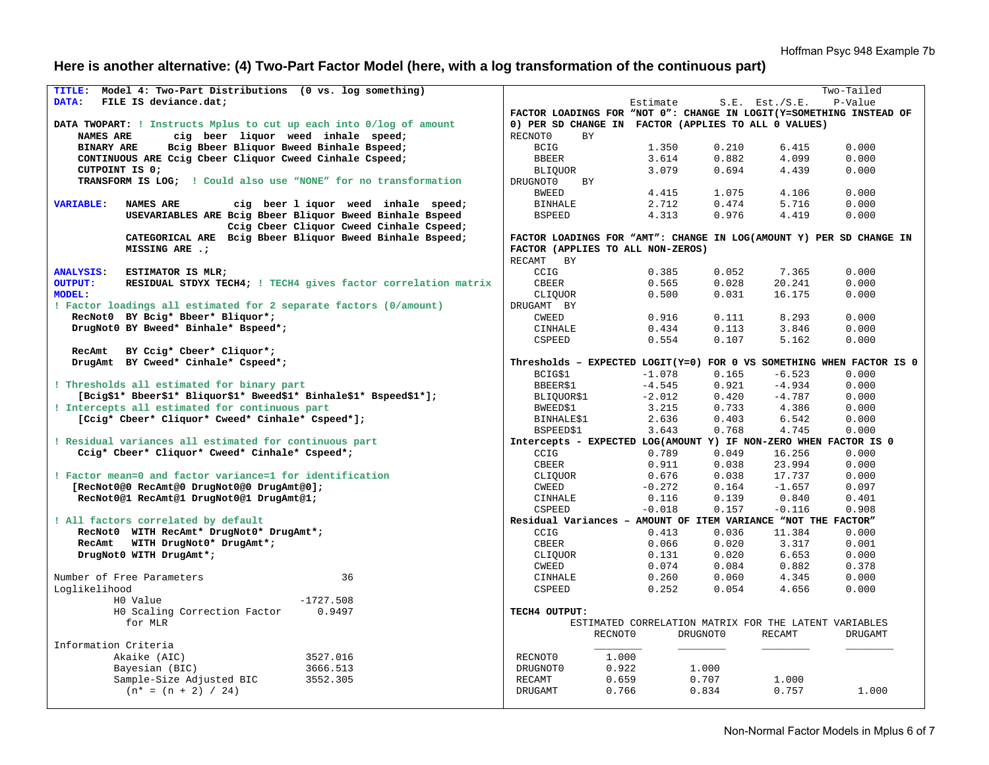# **Here is another alternative: (4) Two-Part Factor Model (here, with a log transformation of the continuous part)**

|                                      | TITLE: Model 4: Two-Part Distributions (0 vs. log something)        |                                                                                                          |          |          |                                                       | Two-Tailed |  |  |
|--------------------------------------|---------------------------------------------------------------------|----------------------------------------------------------------------------------------------------------|----------|----------|-------------------------------------------------------|------------|--|--|
| DATA:                                | FILE IS deviance.dat:                                               |                                                                                                          | Estimate |          | $S.E.$ Est./ $S.E.$                                   | P-Value    |  |  |
|                                      |                                                                     | FACTOR LOADINGS FOR "NOT 0": CHANGE IN LOGIT(Y=SOMETHING INSTEAD OF                                      |          |          |                                                       |            |  |  |
|                                      | DATA TWOPART: ! Instructs Mplus to cut up each into 0/log of amount | 0) PER SD CHANGE IN FACTOR (APPLIES TO ALL 0 VALUES)                                                     |          |          |                                                       |            |  |  |
| NAMES ARE                            | cig beer liquor weed inhale speed;                                  | RECNOT0<br><b>BY</b>                                                                                     |          |          |                                                       |            |  |  |
| <b>BINARY ARE</b>                    | Bcig Bbeer Bliquor Bweed Binhale Bspeed;                            | <b>BCIG</b>                                                                                              | 1.350    | 0.210    | 6.415                                                 | 0.000      |  |  |
|                                      | CONTINUOUS ARE Cciq Cbeer Cliquor Cweed Cinhale Cspeed;             | <b>BBEER</b>                                                                                             | 3.614    | 0.882    | 4.099                                                 | 0.000      |  |  |
| CUTPOINT IS 0:                       |                                                                     | <b>BLIQUOR</b>                                                                                           | 3.079    | 0.694    | 4.439                                                 | 0.000      |  |  |
|                                      | TRANSFORM IS LOG; ! Could also use "NONE" for no transformation     | DRUGNOT0<br>BY                                                                                           |          |          |                                                       |            |  |  |
|                                      |                                                                     | <b>BWEED</b>                                                                                             | 4.415    | 1.075    | 4.106                                                 | 0.000      |  |  |
| <b>VARIABLE:</b><br><b>NAMES ARE</b> | cig beer 1 iquor weed inhale speed;                                 | <b>BINHALE</b>                                                                                           | 2.712    | 0.474    | 5.716                                                 | 0.000      |  |  |
|                                      | USEVARIABLES ARE Bcig Bbeer Bliquor Bweed Binhale Bspeed            | <b>BSPEED</b>                                                                                            | 4.313    | 0.976    | 4.419                                                 | 0.000      |  |  |
|                                      | Ccig Cbeer Cliquor Cweed Cinhale Cspeed;                            |                                                                                                          |          |          |                                                       |            |  |  |
|                                      | CATEGORICAL ARE Bcig Bbeer Bliquor Bweed Binhale Bspeed;            |                                                                                                          |          |          |                                                       |            |  |  |
|                                      | MISSING ARE .;                                                      | FACTOR LOADINGS FOR "AMT": CHANGE IN LOG(AMOUNT Y) PER SD CHANGE IN<br>FACTOR (APPLIES TO ALL NON-ZEROS) |          |          |                                                       |            |  |  |
|                                      |                                                                     |                                                                                                          |          |          |                                                       |            |  |  |
| <b>ANALYSIS:</b>                     |                                                                     | RECAMT BY                                                                                                |          |          |                                                       |            |  |  |
|                                      | ESTIMATOR IS MLR;                                                   | CCIG                                                                                                     | 0.385    | 0.052    | 7.365                                                 | 0.000      |  |  |
| <b>OUTPUT:</b>                       | RESIDUAL STDYX TECH4; ! TECH4 gives factor correlation matrix       | <b>CBEER</b>                                                                                             | 0.565    | 0.028    | 20.241                                                | 0.000      |  |  |
| <b>MODEL:</b>                        |                                                                     | CLIOUOR                                                                                                  | 0.500    | 0.031    | 16.175                                                | 0.000      |  |  |
|                                      | ! Factor loadings all estimated for 2 separate factors (0/amount)   | DRUGAMT BY                                                                                               |          |          |                                                       |            |  |  |
|                                      | RecNot0 BY Bcig* Bbeer* Bliquor*;                                   | CWEED                                                                                                    | 0.916    | 0.111    | 8.293                                                 | 0.000      |  |  |
|                                      | DrugNot0 BY Bweed* Binhale* Bspeed*;                                | <b>CINHALE</b>                                                                                           | 0.434    | 0.113    | 3.846                                                 | 0.000      |  |  |
|                                      |                                                                     | CSPEED                                                                                                   | 0.554    | 0.107    | 5.162                                                 | 0.000      |  |  |
| RecAmt                               | BY Ccig* Cbeer* Cliquor*;                                           |                                                                                                          |          |          |                                                       |            |  |  |
|                                      | DrugAmt BY Cweed* Cinhale* Cspeed*;                                 | Thresholds - EXPECTED LOGIT(Y=0) FOR 0 VS SOMETHING WHEN FACTOR IS 0                                     |          |          |                                                       |            |  |  |
|                                      |                                                                     | BCIG\$1                                                                                                  | $-1.078$ | 0.165    | $-6.523$                                              | 0.000      |  |  |
|                                      | ! Thresholds all estimated for binary part                          | BBEER\$1                                                                                                 | $-4.545$ | 0.921    | $-4.934$                                              | 0.000      |  |  |
|                                      | [Bcig\$1* Bbeer\$1* Bliquor\$1* Bweed\$1* Binhale\$1* Bspeed\$1*];  | BLIOUOR\$1                                                                                               | $-2.012$ | 0.420    | $-4.787$                                              | 0.000      |  |  |
|                                      | ! Intercepts all estimated for continuous part                      | BWEED\$1                                                                                                 | 3.215    | 0.733    | 4.386                                                 | 0.000      |  |  |
|                                      | [Ccig* Cbeer* Cliquor* Cweed* Cinhale* Cspeed*];                    | BINHALE\$1                                                                                               | 2.636    | 0.403    | 6.542                                                 | 0.000      |  |  |
|                                      |                                                                     | BSPEED\$1                                                                                                | 3.643    | 0.768    | 4.745                                                 | 0.000      |  |  |
|                                      | ! Residual variances all estimated for continuous part              | Intercepts - EXPECTED LOG(AMOUNT Y) IF NON-ZERO WHEN FACTOR IS 0                                         |          |          |                                                       |            |  |  |
|                                      | Ccig* Cbeer* Cliquor* Cweed* Cinhale* Cspeed*;                      | CCIG                                                                                                     | 0.789    | 0.049    | 16.256                                                | 0.000      |  |  |
|                                      |                                                                     | <b>CBEER</b>                                                                                             | 0.911    | 0.038    | 23.994                                                | 0.000      |  |  |
|                                      | ! Factor mean=0 and factor variance=1 for identification            | CLIOUOR                                                                                                  | 0.676    | 0.038    | 17.737                                                | 0.000      |  |  |
|                                      | [RecNot0@0 RecAmt@0 DrugNot0@0 DrugAmt@0];                          | CWEED                                                                                                    | $-0.272$ | 0.164    | $-1.657$                                              | 0.097      |  |  |
|                                      | RecNot0@1 RecAmt@1 DrugNot0@1 DrugAmt@1;                            | <b>CINHALE</b>                                                                                           | 0.116    | 0.139    | 0.840                                                 | 0.401      |  |  |
|                                      |                                                                     | <b>CSPEED</b>                                                                                            | $-0.018$ | 0.157    | $-0.116$                                              | 0.908      |  |  |
|                                      | ! All factors correlated by default                                 | Residual Variances - AMOUNT OF ITEM VARIANCE "NOT THE FACTOR"                                            |          |          |                                                       |            |  |  |
|                                      | RecNot0 WITH RecAmt* DrugNot0* DrugAmt*;                            | CCIG                                                                                                     | 0.413    | 0.036    | 11.384                                                | 0.000      |  |  |
|                                      | RecAmt WITH DrugNot0* DrugAmt*;                                     | CBEER                                                                                                    | 0.066    | 0.020    | 3.317                                                 | 0.001      |  |  |
| DrugNot0 WITH DrugAmt*;              |                                                                     | CLIQUOR                                                                                                  | 0.131    | 0.020    | 6.653                                                 | 0.000      |  |  |
|                                      |                                                                     | <b>CWEED</b>                                                                                             | 0.074    | 0.084    | 0.882                                                 | 0.378      |  |  |
| Number of Free Parameters            | 36                                                                  | <b>CINHALE</b>                                                                                           | 0.260    | 0.060    | 4.345                                                 | 0.000      |  |  |
| Loglikelihood                        |                                                                     | CSPEED                                                                                                   | 0.252    | 0.054    | 4.656                                                 | 0.000      |  |  |
| H0 Value                             | $-1727.508$                                                         |                                                                                                          |          |          |                                                       |            |  |  |
|                                      | HO Scaling Correction Factor<br>0.9497                              | TECH4 OUTPUT:                                                                                            |          |          |                                                       |            |  |  |
| for MLR                              |                                                                     |                                                                                                          |          |          | ESTIMATED CORRELATION MATRIX FOR THE LATENT VARIABLES |            |  |  |
|                                      |                                                                     | RECNOT0                                                                                                  |          | DRUGNOT0 | RECAMT                                                | DRUGAMT    |  |  |
| Information Criteria                 |                                                                     |                                                                                                          |          |          |                                                       |            |  |  |
| Akaike (AIC)                         | 3527.016                                                            | RECNOT0                                                                                                  | 1,000    |          |                                                       |            |  |  |
|                                      | Bayesian (BIC)<br>3666.513                                          | DRUGNOT0                                                                                                 | 0.922    | 1.000    |                                                       |            |  |  |
|                                      | 3552.305<br>Sample-Size Adjusted BIC                                | 0.659<br>RECAMT                                                                                          |          | 0.707    | 1.000                                                 |            |  |  |
|                                      | $(n* = (n + 2) / 24)$                                               | 0.766<br><b>DRUGAMT</b>                                                                                  |          | 0.834    | 0.757                                                 | 1,000      |  |  |
|                                      |                                                                     |                                                                                                          |          |          |                                                       |            |  |  |